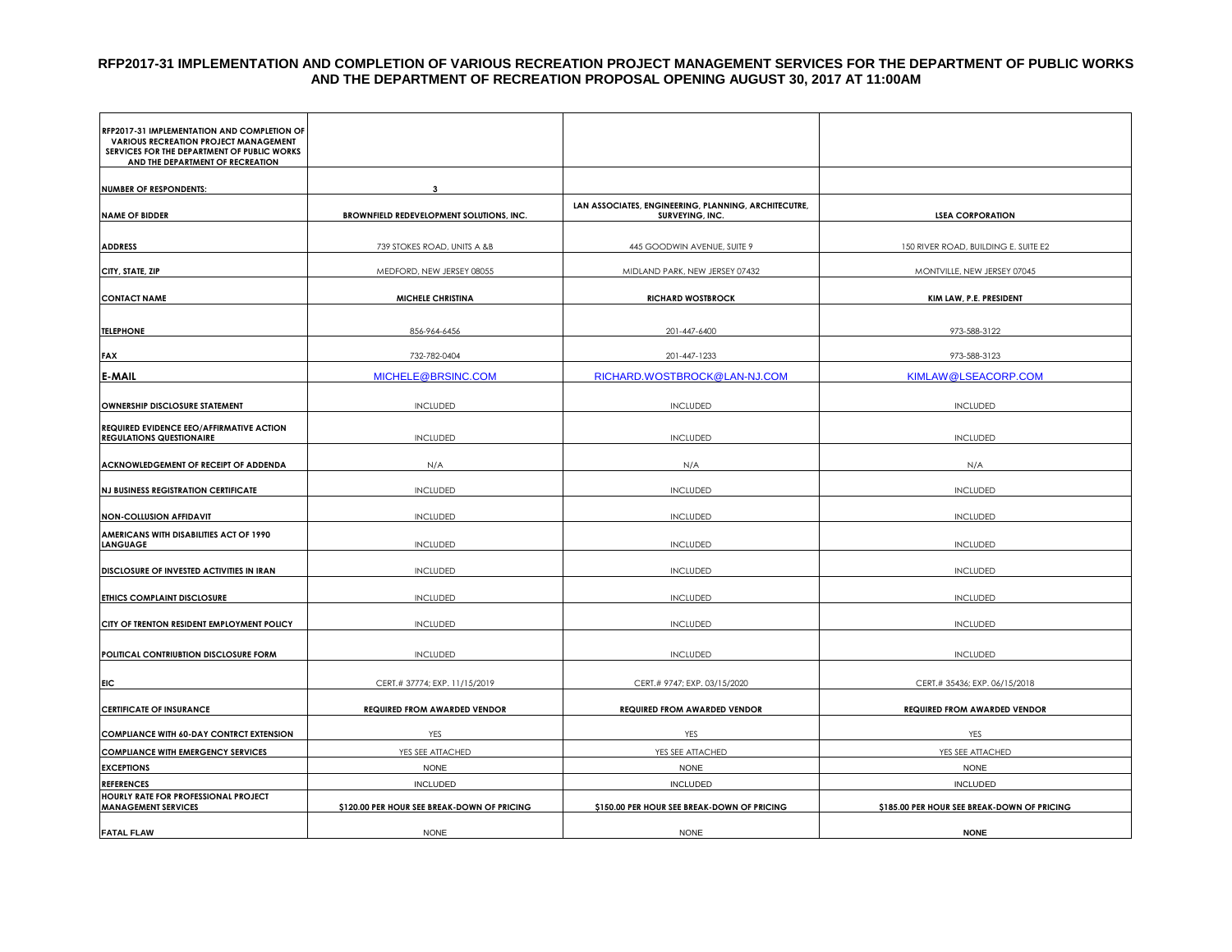#### **RFP2017-31 IMPLEMENTATION AND COMPLETION OF VARIOUS RECREATION PROJECT MANAGEMENT SERVICES FOR THE DEPARTMENT OF PUBLIC WORKS AND THE DEPARTMENT OF RECREATION PROPOSAL OPENING AUGUST 30, 2017 AT 11:00AM**

| RFP2017-31 IMPLEMENTATION AND COMPLETION OF<br><b>VARIOUS RECREATION PROJECT MANAGEMENT</b><br>SERVICES FOR THE DEPARTMENT OF PUBLIC WORKS<br>AND THE DEPARTMENT OF RECREATION |                                             |                                                                         |                                             |
|--------------------------------------------------------------------------------------------------------------------------------------------------------------------------------|---------------------------------------------|-------------------------------------------------------------------------|---------------------------------------------|
|                                                                                                                                                                                |                                             |                                                                         |                                             |
| <b>NUMBER OF RESPONDENTS:</b>                                                                                                                                                  | 3                                           |                                                                         |                                             |
| <b>NAME OF BIDDER</b>                                                                                                                                                          | BROWNFIELD REDEVELOPMENT SOLUTIONS, INC.    | LAN ASSOCIATES, ENGINEERING, PLANNING, ARCHITECUTRE,<br>SURVEYING, INC. | <b>LSEA CORPORATION</b>                     |
|                                                                                                                                                                                |                                             |                                                                         |                                             |
| <b>ADDRESS</b>                                                                                                                                                                 | 739 STOKES ROAD, UNITS A &B                 | 445 GOODWIN AVENUE, SUITE 9                                             | 150 RIVER ROAD, BUILDING E. SUITE E2        |
| CITY, STATE, ZIP                                                                                                                                                               | MEDFORD, NEW JERSEY 08055                   | MIDLAND PARK, NEW JERSEY 07432                                          | MONTVILLE, NEW JERSEY 07045                 |
|                                                                                                                                                                                |                                             |                                                                         |                                             |
| <b>CONTACT NAME</b>                                                                                                                                                            | <b>MICHELE CHRISTINA</b>                    | <b>RICHARD WOSTBROCK</b>                                                | KIM LAW, P.E. PRESIDENT                     |
| <b>TELEPHONE</b>                                                                                                                                                               | 856-964-6456                                | 201-447-6400                                                            | 973-588-3122                                |
|                                                                                                                                                                                |                                             |                                                                         |                                             |
| FAX                                                                                                                                                                            | 732-782-0404                                | 201-447-1233                                                            | 973-588-3123                                |
| <b>E-MAIL</b>                                                                                                                                                                  | MICHELE@BRSINC.COM                          | RICHARD.WOSTBROCK@LAN-NJ.COM                                            | KIMLAW@LSEACORP.COM                         |
|                                                                                                                                                                                |                                             |                                                                         |                                             |
| OWNERSHIP DISCLOSURE STATEMENT                                                                                                                                                 | <b>INCLUDED</b>                             | <b>INCLUDED</b>                                                         | <b>INCLUDED</b>                             |
| REQUIRED EVIDENCE EEO/AFFIRMATIVE ACTION<br><b>REGULATIONS QUESTIONAIRE</b>                                                                                                    |                                             |                                                                         | <b>INCLUDED</b>                             |
|                                                                                                                                                                                | <b>INCLUDED</b>                             | <b>INCLUDED</b>                                                         |                                             |
| ACKNOWLEDGEMENT OF RECEIPT OF ADDENDA                                                                                                                                          | N/A                                         | N/A                                                                     | N/A                                         |
| <b>NJ BUSINESS REGISTRATION CERTIFICATE</b>                                                                                                                                    | <b>INCLUDED</b>                             | <b>INCLUDED</b>                                                         | <b>INCLUDED</b>                             |
|                                                                                                                                                                                |                                             |                                                                         |                                             |
| NON-COLLUSION AFFIDAVIT                                                                                                                                                        | <b>INCLUDED</b>                             | <b>INCLUDED</b>                                                         | <b>INCLUDED</b>                             |
| AMERICANS WITH DISABILITIES ACT OF 1990<br><b>LANGUAGE</b>                                                                                                                     | <b>INCLUDED</b>                             | <b>INCLUDED</b>                                                         | <b>INCLUDED</b>                             |
|                                                                                                                                                                                |                                             |                                                                         |                                             |
| DISCLOSURE OF INVESTED ACTIVITIES IN IRAN                                                                                                                                      | <b>INCLUDED</b>                             | <b>INCLUDED</b>                                                         | <b>INCLUDED</b>                             |
| ETHICS COMPLAINT DISCLOSURE                                                                                                                                                    | <b>INCLUDED</b>                             | <b>INCLUDED</b>                                                         | <b>INCLUDED</b>                             |
|                                                                                                                                                                                |                                             |                                                                         |                                             |
| CITY OF TRENTON RESIDENT EMPLOYMENT POLICY                                                                                                                                     | <b>INCLUDED</b>                             | <b>INCLUDED</b>                                                         | <b>INCLUDED</b>                             |
|                                                                                                                                                                                |                                             |                                                                         |                                             |
| POLITICAL CONTRIUBTION DISCLOSURE FORM                                                                                                                                         | <b>INCLUDED</b>                             | <b>INCLUDED</b>                                                         | <b>INCLUDED</b>                             |
| <b>EIC</b>                                                                                                                                                                     | CERT.# 37774; EXP. 11/15/2019               | CERT.# 9747; EXP. 03/15/2020                                            | CERT.# 35436; EXP. 06/15/2018               |
|                                                                                                                                                                                |                                             |                                                                         |                                             |
| <b>CERTIFICATE OF INSURANCE</b>                                                                                                                                                | REQUIRED FROM AWARDED VENDOR                | REQUIRED FROM AWARDED VENDOR                                            | <b>REQUIRED FROM AWARDED VENDOR</b>         |
| <b>COMPLIANCE WITH 60-DAY CONTRCT EXTENSION</b>                                                                                                                                | YES                                         | YES                                                                     | YES                                         |
| <b>COMPLIANCE WITH EMERGENCY SERVICES</b>                                                                                                                                      | YES SEE ATTACHED                            | YES SEE ATTACHED                                                        | YES SEE ATTACHED                            |
| <b>EXCEPTIONS</b>                                                                                                                                                              | <b>NONE</b>                                 | <b>NONE</b>                                                             | <b>NONE</b>                                 |
| <b>REFERENCES</b>                                                                                                                                                              | <b>INCLUDED</b>                             | <b>INCLUDED</b>                                                         | <b>INCLUDED</b>                             |
| HOURLY RATE FOR PROFESSIONAL PROJECT<br><b>MANAGEMENT SERVICES</b>                                                                                                             | \$120.00 PER HOUR SEE BREAK-DOWN OF PRICING | \$150.00 PER HOUR SEE BREAK-DOWN OF PRICING                             | \$185.00 PER HOUR SEE BREAK-DOWN OF PRICING |
|                                                                                                                                                                                |                                             |                                                                         |                                             |
| <b>FATAL FLAW</b>                                                                                                                                                              | <b>NONE</b>                                 | <b>NONE</b>                                                             | <b>NONE</b>                                 |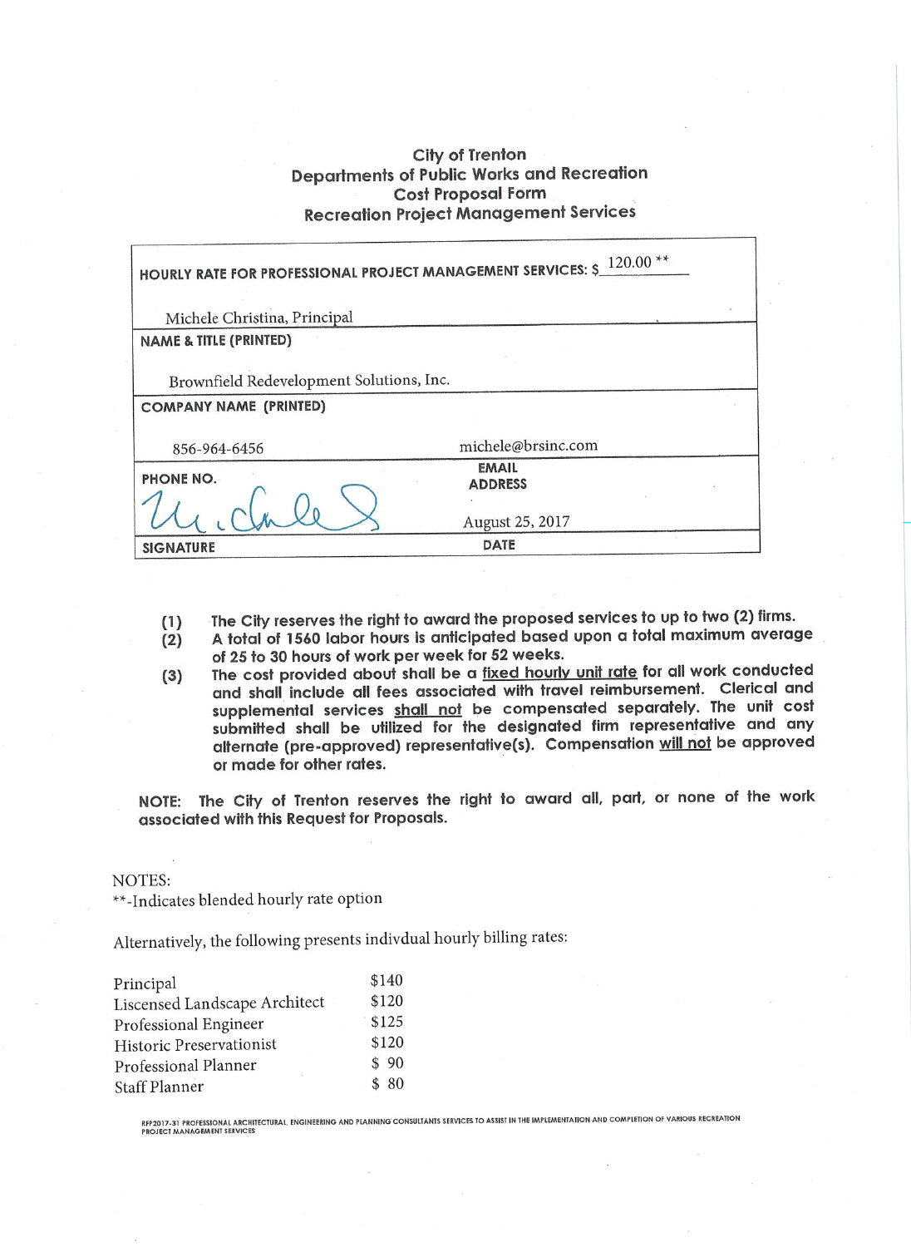### City of Trenton **Departments of Public Works and Recreation Cost Proposal Form Recreation Project Management Services**

| HOURLY RATE FOR PROFESSIONAL PROJECT MANAGEMENT SERVICES: $\frac{120.00 \times 10^{-14}}{2000 \times 10^{-14}}$ |                    |  |  |  |  |
|-----------------------------------------------------------------------------------------------------------------|--------------------|--|--|--|--|
| Michele Christina, Principal                                                                                    |                    |  |  |  |  |
| <b>NAME &amp; TITLE (PRINTED)</b>                                                                               |                    |  |  |  |  |
|                                                                                                                 |                    |  |  |  |  |
| Brownfield Redevelopment Solutions, Inc.                                                                        |                    |  |  |  |  |
| <b>COMPANY NAME (PRINTED)</b>                                                                                   |                    |  |  |  |  |
|                                                                                                                 |                    |  |  |  |  |
| 856-964-6456                                                                                                    | michele@brsinc.com |  |  |  |  |
| PHONE NO.                                                                                                       | <b>EMAIL</b>       |  |  |  |  |
|                                                                                                                 | <b>ADDRESS</b>     |  |  |  |  |
|                                                                                                                 |                    |  |  |  |  |
|                                                                                                                 | August 25, 2017    |  |  |  |  |
| <b>SIGNATURE</b>                                                                                                | DATE               |  |  |  |  |

- The City reserves the right to award the proposed services to up to two (2) firms.  $(1)$
- A total of 1560 labor hours is anticipated based upon a total maximum average  $(2)$ of 25 to 30 hours of work per week for 52 weeks.
- The cost provided about shall be a fixed hourly unit rate for all work conducted  $(3)$ and shall include all fees associated with travel reimbursement. Clerical and supplemental services shall not be compensated separately. The unit cost submitted shall be utilized for the designated firm representative and any alternate (pre-approved) representative(s). Compensation will not be approved or made for other rates.

NOTE: The City of Trenton reserves the right to award all, part, or none of the work associated with this Request for Proposals.

#### NOTES:

\*\*-Indicates blended hourly rate option

Alternatively, the following presents indivdual hourly billing rates:

| Principal                     | \$140 |
|-------------------------------|-------|
| Liscensed Landscape Architect | \$120 |
| Professional Engineer         | \$125 |
| Historic Preservationist      | \$120 |
| Professional Planner          | \$90  |
| <b>Staff Planner</b>          | \$80  |

RFP2017-31 PROFESSIONAL ARCHITECTURAL, ENGINEERING AND PLANNING CONSULTANTS SERVICES TO ASSIST IN THE IMPLEMENTATION AND COMPLETION OF VARIOUS RECREATION<br>PROJECT MANAGEMENT SERVICES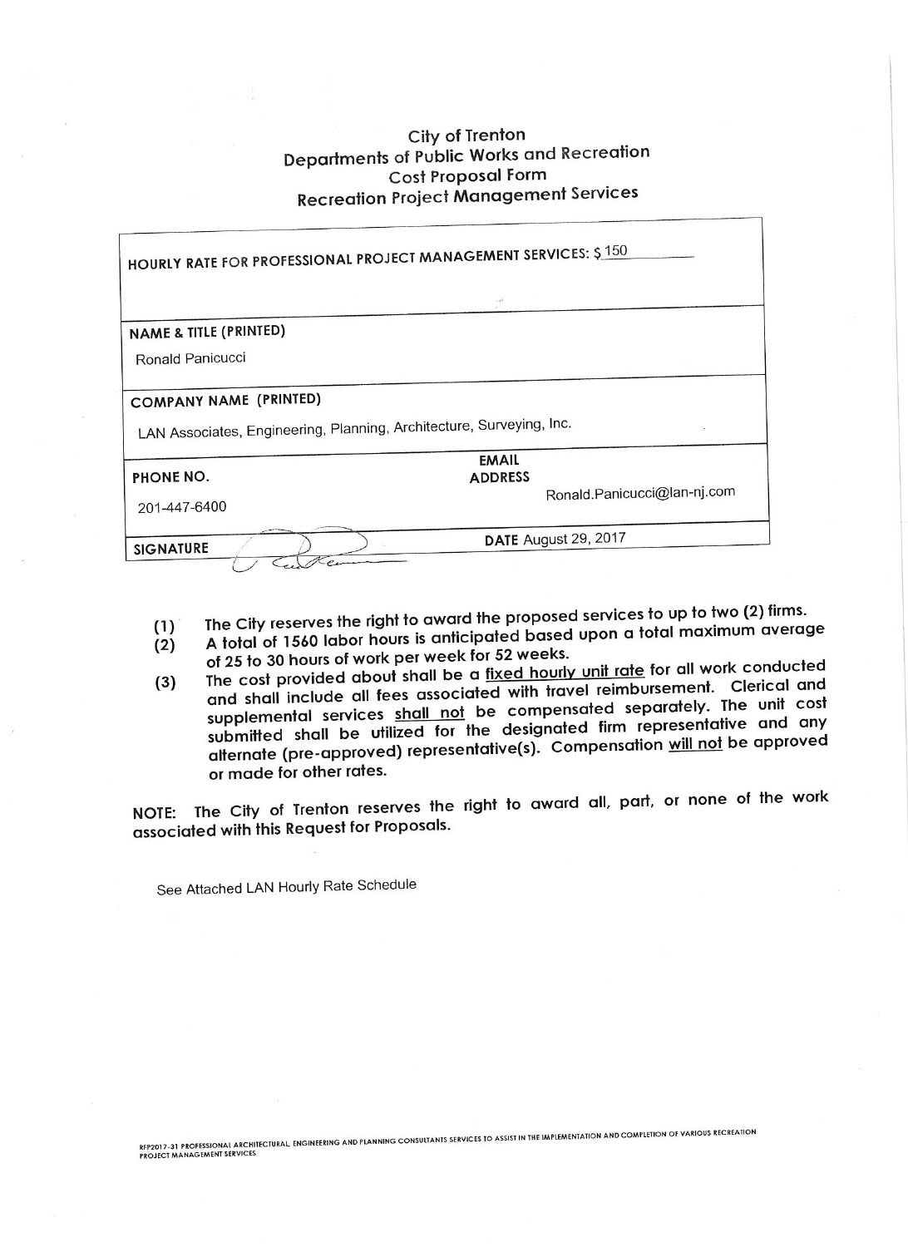# City of Trenton Departments of Public Works and Recreation Cost Proposal Form **Recreation Project Management Services**

| <b>HOURLY RATE FOR PROFESSIONAL PROJECT MANAGEMENT SERVICES: \$150</b>                                |                                                               |  |  |  |  |
|-------------------------------------------------------------------------------------------------------|---------------------------------------------------------------|--|--|--|--|
|                                                                                                       |                                                               |  |  |  |  |
| <b>NAME &amp; TITLE (PRINTED)</b>                                                                     |                                                               |  |  |  |  |
| Ronald Panicucci                                                                                      |                                                               |  |  |  |  |
| <b>COMPANY NAME (PRINTED)</b><br>LAN Associates, Engineering, Planning, Architecture, Surveying, Inc. |                                                               |  |  |  |  |
| PHONE NO.<br>201-447-6400                                                                             | <b>EMAIL</b><br><b>ADDRESS</b><br>Ronald.Panicucci@lan-nj.com |  |  |  |  |
| <b>SIGNATURE</b>                                                                                      | DATE August 29, 2017                                          |  |  |  |  |

- The City reserves the right to award the proposed services to up to two (2) firms.
- A total of 1560 labor hours is anticipated based upon a total maximum average  $(1)$  $(2)$ of 25 to 30 hours of work per week for 52 weeks.
- The cost provided about shall be a fixed hourly unit rate for all work conducted and shall include all fees associated with travel reimbursement. Clerical and  $(3)$ supplemental services shall not be compensated separately. The unit cost submitted shall be utilized for the designated firm representative and any alternate (pre-approved) representative(s). Compensation will not be approved or made for other rates.

NOTE: The City of Trenton reserves the right to award all, part, or none of the work associated with this Request for Proposals.

See Attached LAN Hourly Rate Schedule